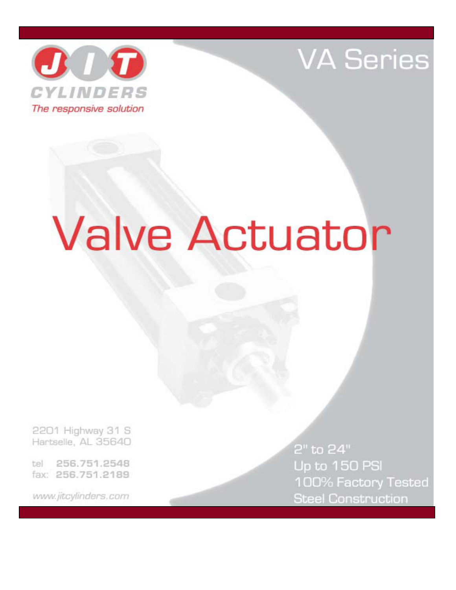

# **VA Series**

# **Valve Actuator**

2201 Highway 31 S Hartselle, AL 35640

256.751.2548 tel fax: 256.751.2189

www.jitcylinders.com

2" to 24" Up to 150 PSI 100% Factory Tested **Steel Construction**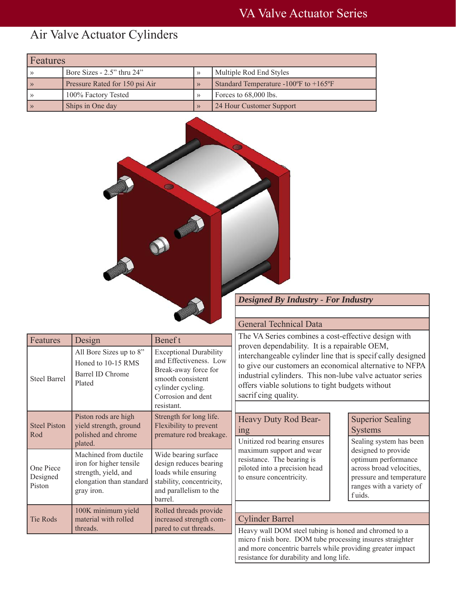### Air Valve Actuator Cylinders

| Features      |                                  |  |                                                                             |  |  |  |  |  |
|---------------|----------------------------------|--|-----------------------------------------------------------------------------|--|--|--|--|--|
|               | Bore Sizes - $2.5$ " thru $24$ " |  | Multiple Rod End Styles                                                     |  |  |  |  |  |
| $\rightarrow$ | Pressure Rated for 150 psi Air   |  | Standard Temperature -100 $\mathrm{^{\circ}F}$ to +165 $\mathrm{^{\circ}F}$ |  |  |  |  |  |
|               | 100% Factory Tested              |  | Forces to 68,000 lbs.                                                       |  |  |  |  |  |
| $\rightarrow$ | Ships in One day                 |  | 24 Hour Customer Support                                                    |  |  |  |  |  |



#### *Designed By Industry - For Industry*

| Features                        | Design                                                                                                             | Benef t                                                                                                                                                       |
|---------------------------------|--------------------------------------------------------------------------------------------------------------------|---------------------------------------------------------------------------------------------------------------------------------------------------------------|
| <b>Steel Barrel</b>             | All Bore Sizes up to 8"<br>Honed to 10-15 RMS<br>Barrel ID Chrome<br>Plated                                        | <b>Exceptional Durability</b><br>and Effectiveness. Low<br>Break-away force for<br>smooth consistent<br>cylinder cycling.<br>Corrosion and dent<br>resistant. |
| <b>Steel Piston</b><br>Rod      | Piston rods are high<br>yield strength, ground<br>polished and chrome<br>plated.                                   | Strength for long life.<br>Flexibility to prevent<br>premature rod breakage.                                                                                  |
| One Piece<br>Designed<br>Piston | Machined from ductile<br>iron for higher tensile<br>strength, yield, and<br>elongation than standard<br>gray iron. | Wide bearing surface<br>design reduces bearing<br>loads while ensuring<br>stability, concentricity,<br>and parallelism to the<br>barrel.                      |
| <b>Tie Rods</b>                 | 100K minimum yield<br>material with rolled<br>threads.                                                             | Rolled threads provide<br>increased strength com-<br>pared to cut threads.                                                                                    |

#### General Technical Data

The VA Series combines a cost-effective design with proven dependability. It is a repairable OEM, interchangeable cylinder line that is specif cally designed to give our customers an economical alternative to NFPA industrial cylinders. This non-lube valve actuator series offers viable solutions to tight budgets without sacrif cing quality.

| Heavy Duty Rod Bear- |  |
|----------------------|--|
| ing                  |  |

Unitized rod bearing ensures maximum support and wear resistance. The bearing is piloted into a precision head to ensure concentricity.

#### Superior Sealing Systems

Sealing system has been designed to provide optimum performance across broad velocities, pressure and temperature ranges with a variety of f uids.

#### Cylinder Barrel

Heavy wall DOM steel tubing is honed and chromed to a micro f nish bore. DOM tube processing insures straighter and more concentric barrels while providing greater impact resistance for durability and long life.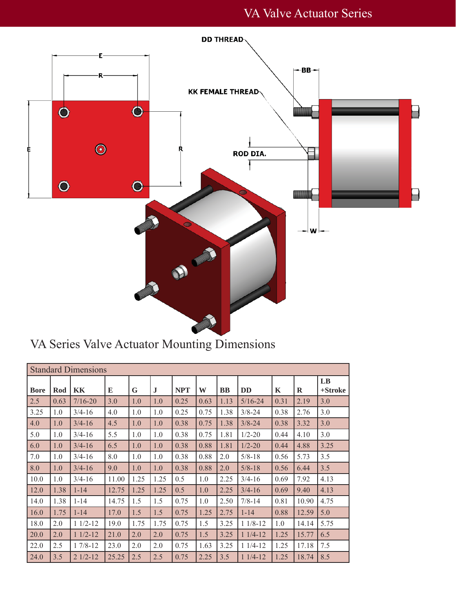

VA Series Valve Actuator Mounting Dimensions

| <b>Standard Dimensions</b> |      |             |       |      |         |            |      |           |             |      |             |               |
|----------------------------|------|-------------|-------|------|---------|------------|------|-----------|-------------|------|-------------|---------------|
| <b>Bore</b>                | Rod  | KК          | E     | G    | $\bf J$ | <b>NPT</b> | W    | <b>BB</b> | <b>DD</b>   | K    | $\mathbf R$ | LB<br>+Stroke |
| 2.5                        | 0.63 | $7/16 - 20$ | 3.0   | 1.0  | 1.0     | 0.25       | 0.63 | 1.13      | $5/16 - 24$ | 0.31 | 2.19        | 3.0           |
| 3.25                       | 1.0  | $3/4 - 16$  | 4.0   | 1.0  | 1.0     | 0.25       | 0.75 | 1.38      | $3/8 - 24$  | 0.38 | 2.76        | 3.0           |
| 4.0                        | 1.0  | $3/4 - 16$  | 4.5   | 1.0  | 1.0     | 0.38       | 0.75 | 1.38      | $3/8 - 24$  | 0.38 | 3.32        | 3.0           |
| 5.0                        | 1.0  | $3/4 - 16$  | 5.5   | 1.0  | 1.0     | 0.38       | 0.75 | 1.81      | $1/2 - 20$  | 0.44 | 4.10        | 3.0           |
| 6.0                        | 1.0  | $3/4 - 16$  | 6.5   | 1.0  | 1.0     | 0.38       | 0.88 | 1.81      | $1/2 - 20$  | 0.44 | 4.88        | 3.25          |
| 7.0                        | 1.0  | $3/4 - 16$  | 8.0   | 1.0  | 1.0     | 0.38       | 0.88 | 2.0       | $5/8 - 18$  | 0.56 | 5.73        | 3.5           |
| 8.0                        | 1.0  | $3/4 - 16$  | 9.0   | 1.0  | 1.0     | 0.38       | 0.88 | 2.0       | $5/8 - 18$  | 0.56 | 6.44        | 3.5           |
| 10.0                       | 1.0  | $3/4 - 16$  | 11.00 | 1.25 | 1.25    | 0.5        | 1.0  | 2.25      | $3/4 - 16$  | 0.69 | 7.92        | 4.13          |
| 12.0                       | 1.38 | $1 - 14$    | 12.75 | 1.25 | 1.25    | 0.5        | 1.0  | 2.25      | $3/4 - 16$  | 0.69 | 9.40        | 4.13          |
| 14.0                       | 1.38 | $1 - 14$    | 14.75 | 1.5  | 1.5     | 0.75       | 1.0  | 2.50      | $7/8 - 14$  | 0.81 | 10.90       | 4.75          |
| 16.0                       | 1.75 | $1 - 14$    | 17.0  | 1.5  | 1.5     | 0.75       | 1.25 | 2.75      | $1 - 14$    | 0.88 | 12.59       | 5.0           |
| 18.0                       | 2.0  | $11/2-12$   | 19.0  | 1.75 | 1.75    | 0.75       | 1.5  | 3.25      | $11/8-12$   | 1.0  | 14.14       | 5.75          |
| 20.0                       | 2.0  | $11/2-12$   | 21.0  | 2.0  | 2.0     | 0.75       | 1.5  | 3.25      | $11/4-12$   | 1.25 | 15.77       | 6.5           |
| 22.0                       | 2.5  | $17/8-12$   | 23.0  | 2.0  | 2.0     | 0.75       | 1.63 | 3.25      | $11/4-12$   | 1.25 | 17.18       | 7.5           |
| 24.0                       | 3.5  | $21/2-12$   | 25.25 | 2.5  | 2.5     | 0.75       | 2.25 | 3.5       | $11/4-12$   | 1.25 | 18.74       | 8.5           |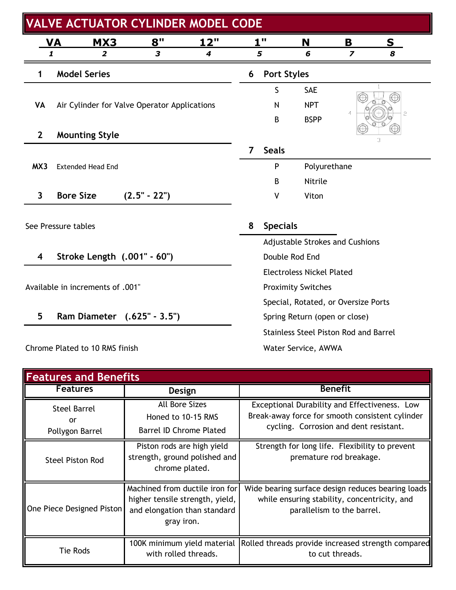| <b>VALVE ACTUATOR CYLINDER MODEL CODE</b> |                                              |                |             |   |                     |                                       |                         |              |  |
|-------------------------------------------|----------------------------------------------|----------------|-------------|---|---------------------|---------------------------------------|-------------------------|--------------|--|
|                                           | <u>VA</u><br><b>MX3</b>                      | 8"             | <u> 12"</u> |   | 1"                  | N                                     | B                       | S            |  |
|                                           | 1<br>2                                       | 3              | 4           |   | 5                   | 6                                     | $\overline{\mathbf{z}}$ | 8            |  |
|                                           | <b>Model Series</b>                          |                |             | 6 | <b>Port Styles</b>  |                                       |                         |              |  |
|                                           |                                              |                |             |   | S                   | SAE                                   |                         | $\mathbf{1}$ |  |
| VA                                        | Air Cylinder for Valve Operator Applications |                |             |   | N                   | <b>NPT</b>                            | $\overline{4}$          |              |  |
|                                           |                                              |                |             |   | B                   | <b>BSPP</b>                           |                         | $\tilde{c}$  |  |
| $\mathbf{2}$                              | <b>Mounting Style</b>                        |                |             |   |                     |                                       |                         | 3            |  |
|                                           |                                              |                |             | 7 | <b>Seals</b>        |                                       |                         |              |  |
| MX3                                       | <b>Extended Head End</b>                     |                |             |   | P                   | Polyurethane                          |                         |              |  |
|                                           |                                              |                |             |   | B                   | Nitrile                               |                         |              |  |
| 3                                         | <b>Bore Size</b>                             | $(2.5" - 22")$ |             |   | V                   | Viton                                 |                         |              |  |
|                                           |                                              |                |             |   |                     |                                       |                         |              |  |
|                                           | See Pressure tables                          |                |             | 8 | <b>Specials</b>     |                                       |                         |              |  |
|                                           |                                              |                |             |   |                     | Adjustable Strokes and Cushions       |                         |              |  |
| 4                                         | Stroke Length (.001" - 60")                  |                |             |   | Double Rod End      |                                       |                         |              |  |
|                                           |                                              |                |             |   |                     | <b>Electroless Nickel Plated</b>      |                         |              |  |
|                                           | Available in increments of .001"             |                |             |   |                     | <b>Proximity Switches</b>             |                         |              |  |
|                                           |                                              |                |             |   |                     | Special, Rotated, or Oversize Ports   |                         |              |  |
| 5                                         | Ram Diameter (.625" - 3.5")                  |                |             |   |                     | Spring Return (open or close)         |                         |              |  |
|                                           |                                              |                |             |   |                     | Stainless Steel Piston Rod and Barrel |                         |              |  |
|                                           | Chrome Plated to 10 RMS finish               |                |             |   | Water Service, AWWA |                                       |                         |              |  |

| <b>Features and Benefits</b>                 |                                                                                                                 |                                                                                                                                            |  |  |  |  |  |  |  |
|----------------------------------------------|-----------------------------------------------------------------------------------------------------------------|--------------------------------------------------------------------------------------------------------------------------------------------|--|--|--|--|--|--|--|
| <b>Features</b>                              | Design                                                                                                          | <b>Benefit</b>                                                                                                                             |  |  |  |  |  |  |  |
| <b>Steel Barrel</b><br>or<br>Pollygon Barrel | <b>All Bore Sizes</b><br>Honed to 10-15 RMS<br>Barrel ID Chrome Plated                                          | Exceptional Durability and Effectiveness. Low<br>Break-away force for smooth consistent cylinder<br>cycling. Corrosion and dent resistant. |  |  |  |  |  |  |  |
| <b>Steel Piston Rod</b>                      | Piston rods are high yield<br>strength, ground polished and<br>chrome plated.                                   | Strength for long life. Flexibility to prevent<br>premature rod breakage.                                                                  |  |  |  |  |  |  |  |
| One Piece Designed Piston                    | Machined from ductile iron for<br>higher tensile strength, yield,<br>and elongation than standard<br>gray iron. | Wide bearing surface design reduces bearing loads<br>while ensuring stability, concentricity, and<br>parallelism to the barrel.            |  |  |  |  |  |  |  |
| Tie Rods                                     | 100K minimum yield material<br>with rolled threads.                                                             | Rolled threads provide increased strength compared<br>to cut threads.                                                                      |  |  |  |  |  |  |  |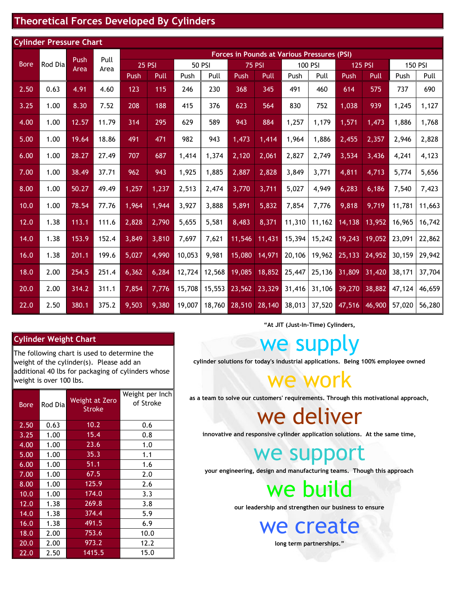#### **Theoretical Forces Developed By Cylinders**

| <b>Cylinder Pressure Chart</b> |         |       |              |                                                    |       |        |               |             |               |        |         |         |                |        |                |  |
|--------------------------------|---------|-------|--------------|----------------------------------------------------|-------|--------|---------------|-------------|---------------|--------|---------|---------|----------------|--------|----------------|--|
|                                |         | Push  |              | <b>Forces in Pounds at Various Pressures (PSI)</b> |       |        |               |             |               |        |         |         |                |        |                |  |
| <b>Bore</b>                    | Rod Dia | Area  | Pull<br>Area | <b>25 PSI</b>                                      |       |        | <b>50 PSI</b> |             | <b>75 PSI</b> |        | 100 PSI |         | <b>125 PSI</b> |        | <b>150 PSI</b> |  |
|                                |         |       |              | <b>Push</b>                                        | Pull  | Push   | Pull          | <b>Push</b> | Pull          | Push   | Pull    | Push    | Pull           | Push   | Pull           |  |
| 2.50                           | 0.63    | 4.91  | 4.60         | 123                                                | 115   | 246    | 230           | 368         | 345           | 491    | 460     | 614     | 575            | 737    | 690            |  |
| 3.25                           | 1.00    | 8.30  | 7.52         | 208                                                | 188   | 415    | 376           | 623         | 564           | 830    | 752     | 1,038   | 939            | 1,245  | 1,127          |  |
| 4.00                           | 1.00    | 12.57 | 11.79        | 314                                                | 295   | 629    | 589           | 943         | 884           | 1,257  | 1,179   | 1,571   | 1,473          | 1,886  | 1,768          |  |
| 5.00                           | 1.00    | 19.64 | 18.86        | 491                                                | 471   | 982    | 943           | 1,473       | 1,414         | 1,964  | 1,886   | 2,455   | 2,357          | 2,946  | 2,828          |  |
| 6.00                           | 1.00    | 28.27 | 27.49        | 707                                                | 687   | 1,414  | 1,374         | 2,120       | 2,061         | 2,827  | 2,749   | 3,534   | 3,436          | 4,241  | 4,123          |  |
| 7.00                           | 1.00    | 38.49 | 37.71        | 962                                                | 943   | 1,925  | 1,885         | 2,887       | 2,828         | 3,849  | 3,771   | 4,811   | 4,713          | 5,774  | 5,656          |  |
| 8.00                           | 1.00    | 50.27 | 49.49        | 1,257                                              | 1,237 | 2,513  | 2,474         | 3,770       | 3,711         | 5,027  | 4,949   | 6,283   | 6,186          | 7,540  | 7,423          |  |
| 10.0                           | 1.00    | 78.54 | 77.76        | 1,964                                              | 1,944 | 3,927  | 3,888         | 5,891       | 5,832         | 7,854  | 7,776   | 9,818   | 9,719          | 11,781 | 11,663         |  |
| 12.0                           | 1.38    | 113.1 | 111.6        | 2,828                                              | 2,790 | 5,655  | 5,581         | 8,483       | 8,371         | 11,310 | 11,162  | 14,138  | 13,952         | 16,965 | 16,742         |  |
| 14.0                           | 1.38    | 153.9 | 152.4        | 3,849                                              | 3,810 | 7,697  | 7,621         | 11,546      | 11,431        | 15,394 | 15,242  | 19,243  | 19,052         | 23,091 | 22,862         |  |
| 16.0                           | 1.38    | 201.1 | 199.6        | 5,027                                              | 4,990 | 10,053 | 9,981         | 15,080      | 14,971        | 20,106 | 19,962  | 25, 133 | 24,952         | 30,159 | 29,942         |  |
| 18.0                           | 2.00    | 254.5 | 251.4        | 6,362                                              | 6,284 | 12,724 | 12,568        | 19,085      | 18,852        | 25,447 | 25,136  | 31,809  | 31,420         | 38,171 | 37,704         |  |
| 20.0                           | 2.00    | 314.2 | 311.1        | 7,854                                              | 7,776 | 15,708 | 15,553        | 23,562      | 23,329        | 31,416 | 31,106  | 39,270  | 38,882         | 47,124 | 46,659         |  |
| 22.0                           | 2.50    | 380.1 | 375.2        | 9,503                                              | 9,380 | 19,007 | 18,760        | 28,510      | 28,140        | 38,013 | 37,520  | 47,516  | 46,900         | 57,020 | 56,280         |  |

#### **Cylinder Weight Chart**

The following chart is used to determine the weight of the cylinder(s). Please add an additional 40 lbs for packaging of cylinders whose weight is over 100 lbs.

| <b>Bore</b> | Rod Dia | <b>Weight at Zero</b><br><b>Stroke</b> | Weight per Inch<br>of Stroke |
|-------------|---------|----------------------------------------|------------------------------|
| 2.50        | 0.63    | 10.2                                   | 0.6                          |
| 3.25        | 1.00    | 15.4                                   | 0.8                          |
| 4.00        | 1.00    | 23.6                                   | 1.0                          |
| 5.00        | 1.00    | 35.3                                   | 1.1                          |
| 6.00        | 1.00    | 51.1                                   | 1.6                          |
| 7.00        | 1.00    | 67.5                                   | 2.0                          |
| 8.00        | 1.00    | 125.9                                  | 2.6                          |
| 10.0        | 1.00    | 174.0                                  | 3.3                          |
| 12.0        | 1.38    | 269.8                                  | 3.8                          |
| 14.0        | 1.38    | 374.4                                  | 5.9                          |
| 16.0        | 1.38    | 491.5                                  | 6.9                          |
| 18.0        | 2.00    | 753.6                                  | 10.0                         |
| 20.0        | 2.00    | 973.2                                  | 12.2                         |
| 22.0        | 2.50    | 1415.5                                 | 15.0                         |

**"At JIT (Just-In-Time) Cylinders,**

we supply

**cylinder solutions for today's industrial applications. Being 100% employee owned**

we work

**as a team to solve our customers' requirements. Through this motivational approach,**

we deliver

**innovative and responsive cylinder application solutions. At the same time,**

we support

**your engineering, design and manufacturing teams. Though this approach**

we build

**our leadership and strengthen our business to ensure**

we create

**long term partnerships."**